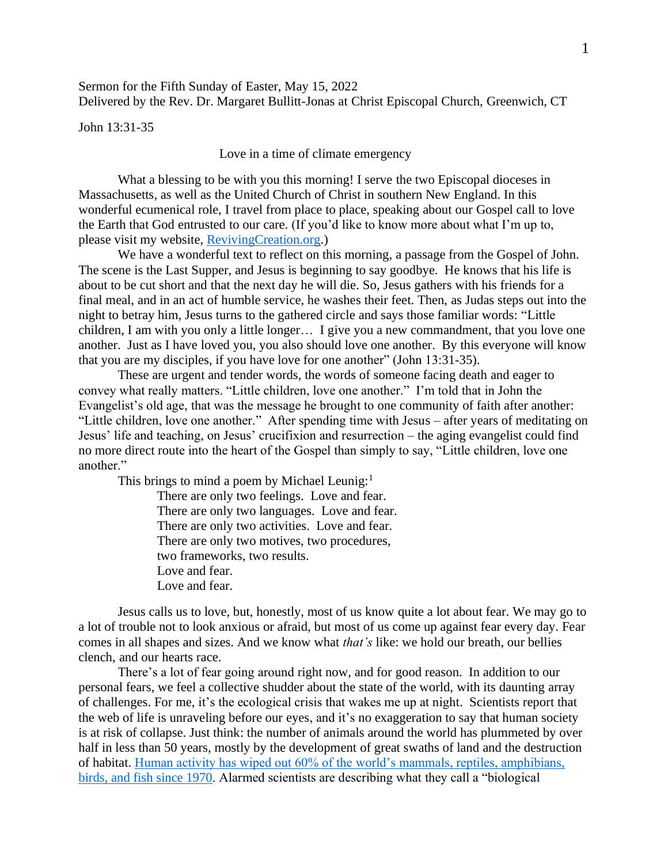Sermon for the Fifth Sunday of Easter, May 15, 2022 Delivered by the Rev. Dr. Margaret Bullitt-Jonas at Christ Episcopal Church, Greenwich, CT

John 13:31-35

Love in a time of climate emergency

What a blessing to be with you this morning! I serve the two Episcopal dioceses in Massachusetts, as well as the United Church of Christ in southern New England. In this wonderful ecumenical role, I travel from place to place, speaking about our Gospel call to love the Earth that God entrusted to our care. (If you'd like to know more about what I'm up to, please visit my website, [RevivingCreation.org.](https://revivingcreation.org/))

We have a wonderful text to reflect on this morning, a passage from the Gospel of John. The scene is the Last Supper, and Jesus is beginning to say goodbye. He knows that his life is about to be cut short and that the next day he will die. So, Jesus gathers with his friends for a final meal, and in an act of humble service, he washes their feet. Then, as Judas steps out into the night to betray him, Jesus turns to the gathered circle and says those familiar words: "Little children, I am with you only a little longer… I give you a new commandment, that you love one another. Just as I have loved you, you also should love one another. By this everyone will know that you are my disciples, if you have love for one another" (John 13:31-35).

These are urgent and tender words, the words of someone facing death and eager to convey what really matters. "Little children, love one another." I'm told that in John the Evangelist's old age, that was the message he brought to one community of faith after another: "Little children, love one another." After spending time with Jesus – after years of meditating on Jesus' life and teaching, on Jesus' crucifixion and resurrection – the aging evangelist could find no more direct route into the heart of the Gospel than simply to say, "Little children, love one another."

This brings to mind a poem by Michael Leunig:<sup>1</sup>

There are only two feelings. Love and fear. There are only two languages. Love and fear. There are only two activities. Love and fear. There are only two motives, two procedures, two frameworks, two results. Love and fear. Love and fear.

Jesus calls us to love, but, honestly, most of us know quite a lot about fear. We may go to a lot of trouble not to look anxious or afraid, but most of us come up against fear every day. Fear comes in all shapes and sizes. And we know what *that's* like: we hold our breath, our bellies clench, and our hearts race.

There's a lot of fear going around right now, and for good reason. In addition to our personal fears, we feel a collective shudder about the state of the world, with its daunting array of challenges. For me, it's the ecological crisis that wakes me up at night. Scientists report that the web of life is unraveling before our eyes, and it's no exaggeration to say that human society is at risk of collapse. Just think: the number of animals around the world has plummeted by over half in less than 50 years, mostly by the development of great swaths of land and the destruction of habitat. [Human activity has wiped out 60% of the world's mammals, reptiles, amphibians,](https://www.wwf.org.uk/updates/living-planet-report-2018)  [birds, and fish since 1970.](https://www.wwf.org.uk/updates/living-planet-report-2018) Alarmed scientists are describing what they call a "biological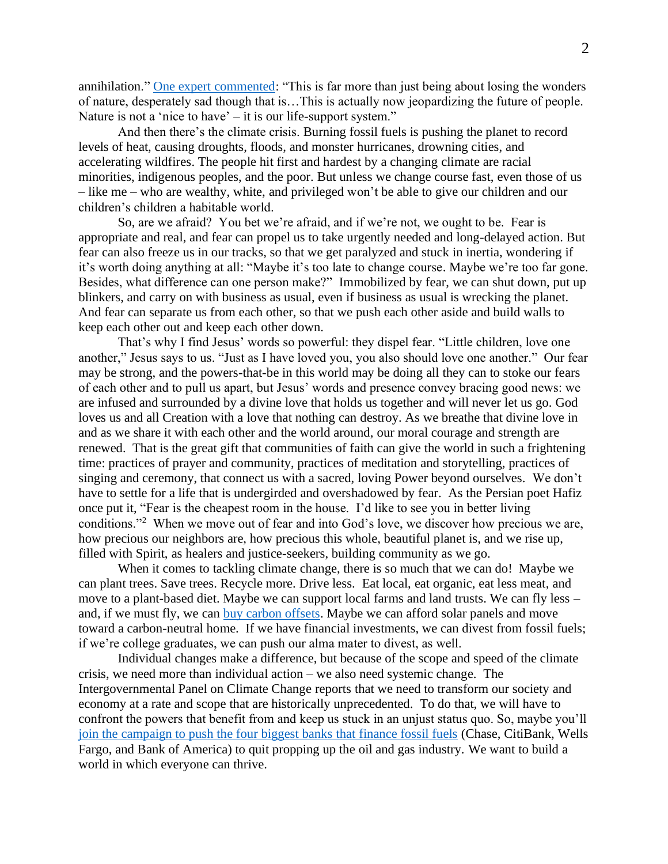annihilation." [One expert commented:](https://www.theguardian.com/environment/2018/oct/30/humanity-wiped-out-animals-since-1970-major-report-finds?CMP=share_btn_tw) "This is far more than just being about losing the wonders of nature, desperately sad though that is…This is actually now jeopardizing the future of people. Nature is not a 'nice to have' – it is our life-support system."

And then there's the climate crisis. Burning fossil fuels is pushing the planet to record levels of heat, causing droughts, floods, and monster hurricanes, drowning cities, and accelerating wildfires. The people hit first and hardest by a changing climate are racial minorities, indigenous peoples, and the poor. But unless we change course fast, even those of us – like me – who are wealthy, white, and privileged won't be able to give our children and our children's children a habitable world.

So, are we afraid? You bet we're afraid, and if we're not, we ought to be. Fear is appropriate and real, and fear can propel us to take urgently needed and long-delayed action. But fear can also freeze us in our tracks, so that we get paralyzed and stuck in inertia, wondering if it's worth doing anything at all: "Maybe it's too late to change course. Maybe we're too far gone. Besides, what difference can one person make?" Immobilized by fear, we can shut down, put up blinkers, and carry on with business as usual, even if business as usual is wrecking the planet. And fear can separate us from each other, so that we push each other aside and build walls to keep each other out and keep each other down.

That's why I find Jesus' words so powerful: they dispel fear. "Little children, love one another," Jesus says to us. "Just as I have loved you, you also should love one another." Our fear may be strong, and the powers-that-be in this world may be doing all they can to stoke our fears of each other and to pull us apart, but Jesus' words and presence convey bracing good news: we are infused and surrounded by a divine love that holds us together and will never let us go. God loves us and all Creation with a love that nothing can destroy. As we breathe that divine love in and as we share it with each other and the world around, our moral courage and strength are renewed. That is the great gift that communities of faith can give the world in such a frightening time: practices of prayer and community, practices of meditation and storytelling, practices of singing and ceremony, that connect us with a sacred, loving Power beyond ourselves. We don't have to settle for a life that is undergirded and overshadowed by fear. As the Persian poet Hafiz once put it, "Fear is the cheapest room in the house. I'd like to see you in better living conditions."<sup>2</sup> When we move out of fear and into God's love, we discover how precious we are, how precious our neighbors are, how precious this whole, beautiful planet is, and we rise up, filled with Spirit, as healers and justice-seekers, building community as we go.

When it comes to tackling climate change, there is so much that we can do! Maybe we can plant trees. Save trees. Recycle more. Drive less. Eat local, eat organic, eat less meat, and move to a plant-based diet. Maybe we can support local farms and land trusts. We can fly less – and, if we must fly, we can [buy carbon offsets.](https://www.investopedia.com/best-carbon-offset-programs-5114611) Maybe we can afford solar panels and move toward a carbon-neutral home. If we have financial investments, we can divest from fossil fuels; if we're college graduates, we can push our alma mater to divest, as well.

Individual changes make a difference, but because of the scope and speed of the climate crisis, we need more than individual action – we also need systemic change. The Intergovernmental Panel on Climate Change reports that we need to transform our society and economy at a rate and scope that are historically unprecedented. To do that, we will have to confront the powers that benefit from and keep us stuck in an unjust status quo. So, maybe you'll [join the campaign to push the four biggest banks that finance fossil fuels](https://thirdact.org/what-we-do/banking-on-our-future/) (Chase, CitiBank, Wells Fargo, and Bank of America) to quit propping up the oil and gas industry. We want to build a world in which everyone can thrive.